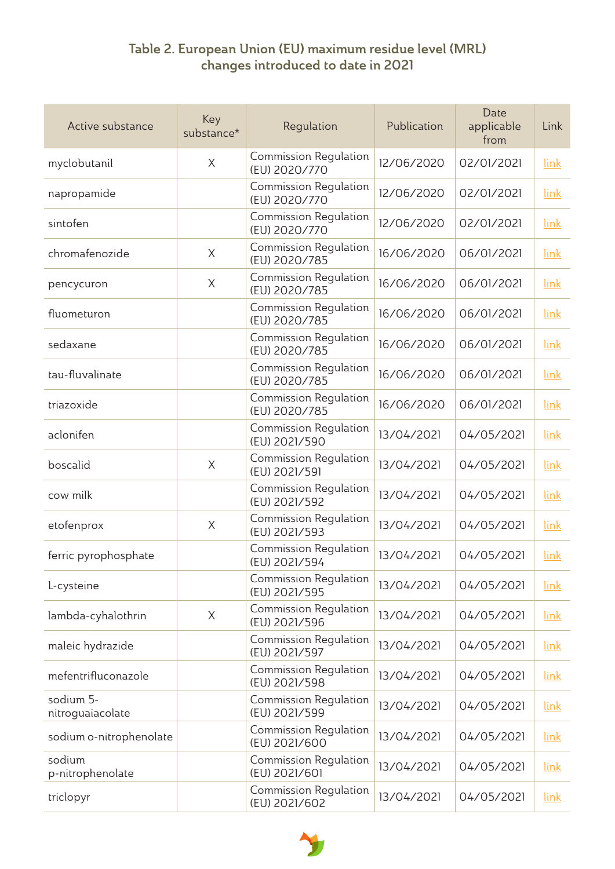## Table 2. European Union (EU) maximum residue level (MRL) changes introduced to date in 2021

| Active substance              | Key<br>substance* | Regulation                                    | Publication | Date<br>applicable<br>from | Link |
|-------------------------------|-------------------|-----------------------------------------------|-------------|----------------------------|------|
| myclobutanil                  | $\times$          | <b>Commission Regulation</b><br>(EU) 2020/770 | 12/06/2020  | 02/01/2021                 | link |
| napropamide                   |                   | <b>Commission Regulation</b><br>(EU) 2020/770 | 12/06/2020  | 02/01/2021                 | link |
| sintofen                      |                   | <b>Commission Regulation</b><br>(EU) 2020/770 | 12/06/2020  | 02/01/2021                 | link |
| chromafenozide                | $\times$          | <b>Commission Regulation</b><br>(EU) 2020/785 | 16/06/2020  | 06/01/2021                 | link |
| pencycuron                    | $\times$          | <b>Commission Regulation</b><br>(EU) 2020/785 | 16/06/2020  | 06/01/2021                 | link |
| fluometuron                   |                   | <b>Commission Regulation</b><br>(EU) 2020/785 | 16/06/2020  | 06/01/2021                 | link |
| sedaxane                      |                   | <b>Commission Regulation</b><br>(EU) 2020/785 | 16/06/2020  | 06/01/2021                 | link |
| tau-fluvalinate               |                   | <b>Commission Regulation</b><br>(EU) 2020/785 | 16/06/2020  | 06/01/2021                 | link |
| triazoxide                    |                   | <b>Commission Regulation</b><br>(EU) 2020/785 | 16/06/2020  | 06/01/2021                 | link |
| aclonifen                     |                   | <b>Commission Regulation</b><br>(EU) 2021/590 | 13/04/2021  | 04/05/2021                 | link |
| boscalid                      | $\times$          | <b>Commission Regulation</b><br>(EU) 2021/591 | 13/04/2021  | 04/05/2021                 | link |
| cow milk                      |                   | <b>Commission Regulation</b><br>(EU) 2021/592 | 13/04/2021  | 04/05/2021                 | link |
| etofenprox                    | $\times$          | <b>Commission Regulation</b><br>(EU) 2021/593 | 13/04/2021  | 04/05/2021                 | link |
| ferric pyrophosphate          |                   | <b>Commission Regulation</b><br>(EU) 2021/594 | 13/04/2021  | 04/05/2021                 | link |
| L-cysteine                    |                   | <b>Commission Regulation</b><br>(EU) 2021/595 | 13/04/2021  | 04/05/2021                 | link |
| lambda-cyhalothrin            | $\times$          | <b>Commission Regulation</b><br>(EU) 2021/596 | 13/04/2021  | 04/05/2021                 | link |
| maleic hydrazide              |                   | <b>Commission Regulation</b><br>(EU) 2021/597 | 13/04/2021  | 04/05/2021                 | link |
| mefentrifluconazole           |                   | <b>Commission Regulation</b><br>(EU) 2021/598 | 13/04/2021  | 04/05/2021                 | link |
| sodium 5-<br>nitroguaiacolate |                   | <b>Commission Regulation</b><br>(EU) 2021/599 | 13/04/2021  | 04/05/2021                 | link |
| sodium o-nitrophenolate       |                   | <b>Commission Regulation</b><br>(EU) 2021/600 | 13/04/2021  | 04/05/2021                 | link |
| sodium<br>p-nitrophenolate    |                   | <b>Commission Regulation</b><br>(EU) 2021/601 | 13/04/2021  | 04/05/2021                 | link |
| triclopyr                     |                   | <b>Commission Regulation</b><br>(EU) 2021/602 | 13/04/2021  | 04/05/2021                 | link |

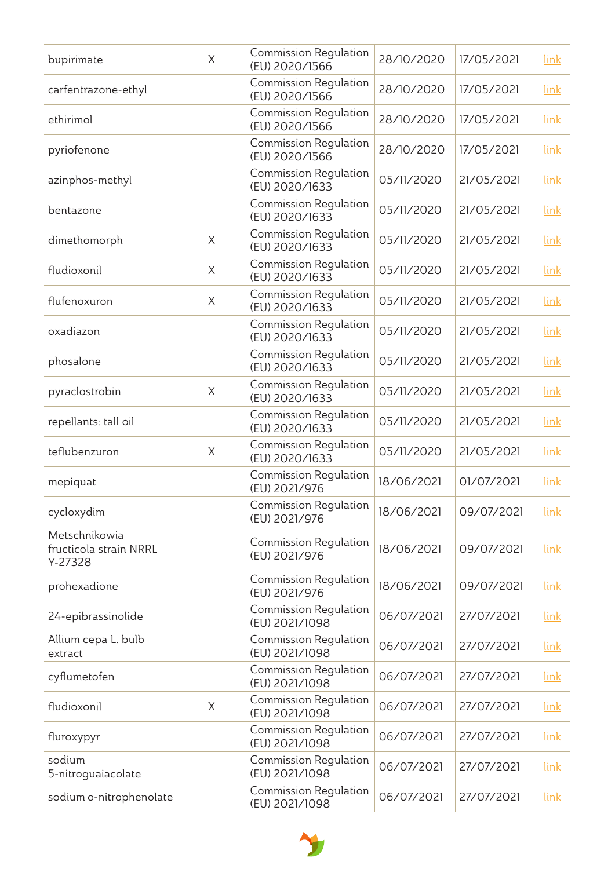| bupirimate                                         | $\times$ | <b>Commission Regulation</b><br>(EU) 2020/1566 | 28/10/2020 | 17/05/2021 | link        |
|----------------------------------------------------|----------|------------------------------------------------|------------|------------|-------------|
| carfentrazone-ethyl                                |          | <b>Commission Regulation</b><br>(EU) 2020/1566 | 28/10/2020 | 17/05/2021 | link        |
| ethirimol                                          |          | <b>Commission Regulation</b><br>(EU) 2020/1566 | 28/10/2020 | 17/05/2021 | link        |
| pyriofenone                                        |          | <b>Commission Regulation</b><br>(EU) 2020/1566 | 28/10/2020 | 17/05/2021 | link        |
| azinphos-methyl                                    |          | <b>Commission Regulation</b><br>(EU) 2020/1633 | 05/11/2020 | 21/05/2021 | link        |
| bentazone                                          |          | <b>Commission Regulation</b><br>(EU) 2020/1633 | 05/11/2020 | 21/05/2021 | link        |
| dimethomorph                                       | $\times$ | <b>Commission Regulation</b><br>(EU) 2020/1633 | 05/11/2020 | 21/05/2021 | link        |
| fludioxonil                                        | $\times$ | <b>Commission Regulation</b><br>(EU) 2020/1633 | 05/11/2020 | 21/05/2021 | link        |
| flufenoxuron                                       | $\times$ | <b>Commission Regulation</b><br>(EU) 2020/1633 | 05/11/2020 | 21/05/2021 | link        |
| oxadiazon                                          |          | <b>Commission Regulation</b><br>(EU) 2020/1633 | 05/11/2020 | 21/05/2021 | link        |
| phosalone                                          |          | <b>Commission Regulation</b><br>(EU) 2020/1633 | 05/11/2020 | 21/05/2021 | link        |
| pyraclostrobin                                     | $\times$ | <b>Commission Regulation</b><br>(EU) 2020/1633 | 05/11/2020 | 21/05/2021 | link        |
| repellants: tall oil                               |          | <b>Commission Regulation</b><br>(EU) 2020/1633 | 05/11/2020 | 21/05/2021 | link        |
| teflubenzuron                                      | $\times$ | <b>Commission Regulation</b><br>(EU) 2020/1633 | 05/11/2020 | 21/05/2021 | link        |
| mepiquat                                           |          | <b>Commission Regulation</b><br>(EU) 2021/976  | 18/06/2021 | 01/07/2021 | link        |
| cycloxydim                                         |          | <b>Commission Regulation</b><br>(EU) 2021/976  | 18/06/2021 | 09/07/2021 | link        |
| Metschnikowia<br>fructicola strain NRRL<br>Y-27328 |          | <b>Commission Regulation</b><br>(EU) 2021/976  | 18/06/2021 | 09/07/2021 | link        |
| prohexadione                                       |          | <b>Commission Regulation</b><br>(EU) 2021/976  | 18/06/2021 | 09/07/2021 | link        |
| 24-epibrassinolide                                 |          | <b>Commission Regulation</b><br>(EU) 2021/1098 | 06/07/2021 | 27/07/2021 | link        |
| Allium cepa L. bulb<br>extract                     |          | <b>Commission Regulation</b><br>(EU) 2021/1098 | 06/07/2021 | 27/07/2021 | link        |
| cyflumetofen                                       |          | <b>Commission Regulation</b><br>(EU) 2021/1098 | 06/07/2021 | 27/07/2021 | <u>link</u> |
| fludioxonil                                        | $\times$ | <b>Commission Regulation</b><br>(EU) 2021/1098 | 06/07/2021 | 27/07/2021 | <u>link</u> |
| fluroxypyr                                         |          | <b>Commission Regulation</b><br>(EU) 2021/1098 | 06/07/2021 | 27/07/2021 | link        |
| sodium<br>5-nitroguaiacolate                       |          | <b>Commission Regulation</b><br>(EU) 2021/1098 | 06/07/2021 | 27/07/2021 | link        |
| sodium o-nitrophenolate                            |          | <b>Commission Regulation</b><br>(EU) 2021/1098 | 06/07/2021 | 27/07/2021 | <u>link</u> |

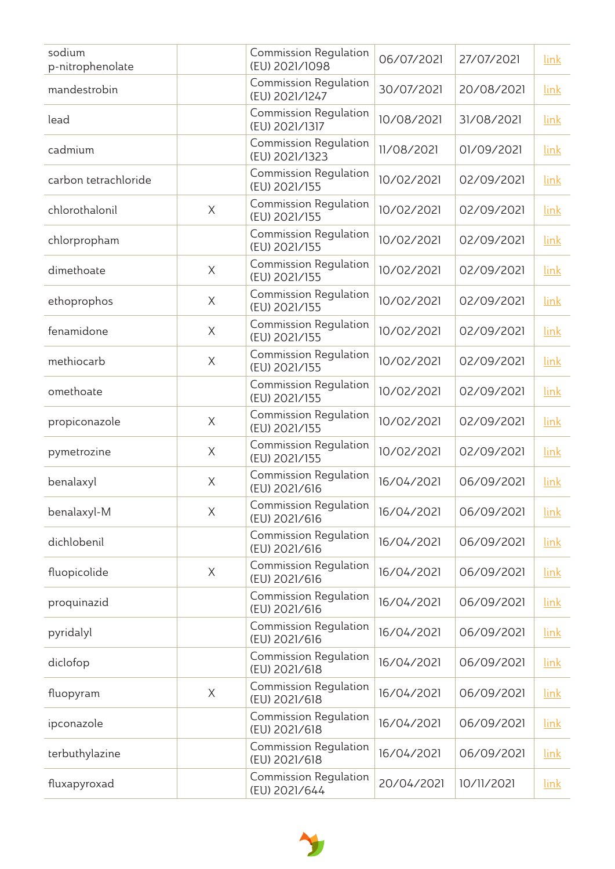| sodium<br>p-nitrophenolate |          | <b>Commission Regulation</b><br>(EU) 2021/1098 | 06/07/2021 | 27/07/2021 | link        |
|----------------------------|----------|------------------------------------------------|------------|------------|-------------|
| mandestrobin               |          | <b>Commission Regulation</b><br>(EU) 2021/1247 | 30/07/2021 | 20/08/2021 | link        |
| lead                       |          | <b>Commission Regulation</b><br>(EU) 2021/1317 | 10/08/2021 | 31/08/2021 | link        |
| cadmium                    |          | <b>Commission Regulation</b><br>(EU) 2021/1323 | 11/08/2021 | 01/09/2021 | link        |
| carbon tetrachloride       |          | <b>Commission Regulation</b><br>(EU) 2021/155  | 10/02/2021 | 02/09/2021 | link        |
| chlorothalonil             | $\times$ | <b>Commission Regulation</b><br>(EU) 2021/155  | 10/02/2021 | 02/09/2021 | link        |
| chlorpropham               |          | <b>Commission Regulation</b><br>(EU) 2021/155  | 10/02/2021 | 02/09/2021 | link        |
| dimethoate                 | $\times$ | <b>Commission Regulation</b><br>(EU) 2021/155  | 10/02/2021 | 02/09/2021 | link        |
| ethoprophos                | $\times$ | <b>Commission Regulation</b><br>(EU) 2021/155  | 10/02/2021 | 02/09/2021 | link        |
| fenamidone                 | $\times$ | <b>Commission Regulation</b><br>(EU) 2021/155  | 10/02/2021 | 02/09/2021 | link        |
| methiocarb                 | $\times$ | <b>Commission Regulation</b><br>(EU) 2021/155  | 10/02/2021 | 02/09/2021 | link        |
| omethoate                  |          | <b>Commission Regulation</b><br>(EU) 2021/155  | 10/02/2021 | 02/09/2021 | link        |
| propiconazole              | $\times$ | <b>Commission Regulation</b><br>(EU) 2021/155  | 10/02/2021 | 02/09/2021 | link        |
| pymetrozine                | X        | <b>Commission Regulation</b><br>(EU) 2021/155  | 10/02/2021 | 02/09/2021 | link        |
| benalaxyl                  | $\times$ | <b>Commission Regulation</b><br>(EU) 2021/616  | 16/04/2021 | 06/09/2021 | link        |
| benalaxyl-M                | X        | <b>Commission Regulation</b><br>(EU) 2021/616  | 16/04/2021 | 06/09/2021 | <u>link</u> |
| dichlobenil                |          | <b>Commission Regulation</b><br>(EU) 2021/616  | 16/04/2021 | 06/09/2021 | link        |
| fluopicolide               | $\times$ | <b>Commission Regulation</b><br>(EU) 2021/616  | 16/04/2021 | 06/09/2021 | link        |
| proquinazid                |          | <b>Commission Regulation</b><br>(EU) 2021/616  | 16/04/2021 | 06/09/2021 | link        |
| pyridalyl                  |          | <b>Commission Regulation</b><br>(EU) 2021/616  | 16/04/2021 | 06/09/2021 | link        |
| diclofop                   |          | <b>Commission Regulation</b><br>(EU) 2021/618  | 16/04/2021 | 06/09/2021 | link        |
| fluopyram                  | $\times$ | <b>Commission Regulation</b><br>(EU) 2021/618  | 16/04/2021 | 06/09/2021 | link        |
| ipconazole                 |          | <b>Commission Regulation</b><br>(EU) 2021/618  | 16/04/2021 | 06/09/2021 | link        |
| terbuthylazine             |          | <b>Commission Regulation</b><br>(EU) 2021/618  | 16/04/2021 | 06/09/2021 | <u>link</u> |
| fluxapyroxad               |          | <b>Commission Regulation</b><br>(EU) 2021/644  | 20/04/2021 | 10/11/2021 | <u>link</u> |

y